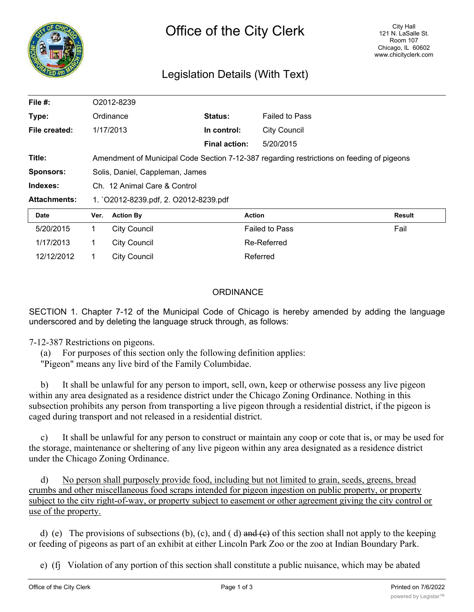

# Legislation Details (With Text)

| File #:             |                                       | O2012-8239                                                                                |                      |                       |               |  |
|---------------------|---------------------------------------|-------------------------------------------------------------------------------------------|----------------------|-----------------------|---------------|--|
| Type:               |                                       | Ordinance                                                                                 | Status:              | <b>Failed to Pass</b> |               |  |
| File created:       |                                       | 1/17/2013                                                                                 | In control:          | <b>City Council</b>   |               |  |
|                     |                                       |                                                                                           | <b>Final action:</b> | 5/20/2015             |               |  |
| Title:              |                                       | Amendment of Municipal Code Section 7-12-387 regarding restrictions on feeding of pigeons |                      |                       |               |  |
| <b>Sponsors:</b>    | Solis, Daniel, Cappleman, James       |                                                                                           |                      |                       |               |  |
| Indexes:            | Ch. 12 Animal Care & Control          |                                                                                           |                      |                       |               |  |
| <b>Attachments:</b> | 1. `O2012-8239.pdf, 2. O2012-8239.pdf |                                                                                           |                      |                       |               |  |
| Date                | Ver.                                  | <b>Action By</b>                                                                          |                      | <b>Action</b>         | <b>Result</b> |  |
| 5/20/2015           | 1                                     | <b>City Council</b>                                                                       |                      | <b>Failed to Pass</b> | Fail          |  |
| 1/17/2013           |                                       | City Council                                                                              |                      | Re-Referred           |               |  |

#### **ORDINANCE**

SECTION 1. Chapter 7-12 of the Municipal Code of Chicago is hereby amended by adding the language underscored and by deleting the language struck through, as follows:

## 7-12-387 Restrictions on pigeons.

(a) For purposes of this section only the following definition applies:

"Pigeon" means any live bird of the Family Columbidae.

12/12/2012 1 City Council **Council** Referred

b) It shall be unlawful for any person to import, sell, own, keep or otherwise possess any live pigeon within any area designated as a residence district under the Chicago Zoning Ordinance. Nothing in this subsection prohibits any person from transporting a live pigeon through a residential district, if the pigeon is caged during transport and not released in a residential district.

It shall be unlawful for any person to construct or maintain any coop or cote that is, or may be used for the storage, maintenance or sheltering of any live pigeon within any area designated as a residence district under the Chicago Zoning Ordinance.

d) No person shall purposely provide food, including but not limited to grain, seeds, greens, bread crumbs and other miscellaneous food scraps intended for pigeon ingestion on public property, or property subject to the city right-of-way, or property subject to easement or other agreement giving the city control or use of the property.

d) (e) The provisions of subsections (b), (c), and (d) and (e) of this section shall not apply to the keeping or feeding of pigeons as part of an exhibit at either Lincoln Park Zoo or the zoo at Indian Boundary Park.

e) (fj Violation of any portion of this section shall constitute a public nuisance, which may be abated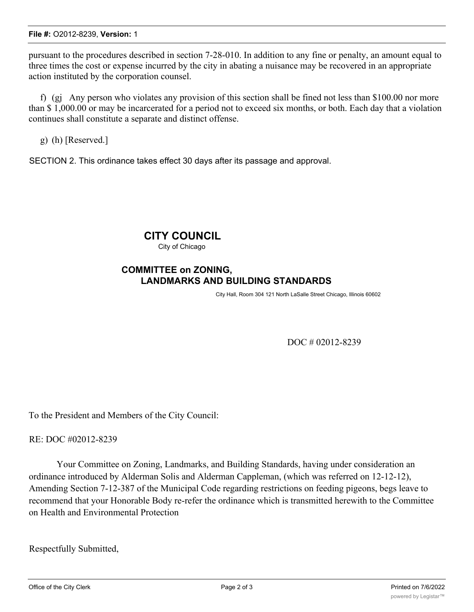pursuant to the procedures described in section 7-28-010. In addition to any fine or penalty, an amount equal to three times the cost or expense incurred by the city in abating a nuisance may be recovered in an appropriate action instituted by the corporation counsel.

f) (gj Any person who violates any provision of this section shall be fined not less than \$100.00 nor more than \$ 1,000.00 or may be incarcerated for a period not to exceed six months, or both. Each day that a violation continues shall constitute a separate and distinct offense.

g) (h) [Reserved.]

SECTION 2. This ordinance takes effect 30 days after its passage and approval.

# **CITY COUNCIL**

City of Chicago

### **COMMITTEE on ZONING, LANDMARKS AND BUILDING STANDARDS**

City Hall, Room 304 121 North LaSalle Street Chicago, Illinois 60602

DOC # 02012-8239

To the President and Members of the City Council:

RE: DOC #02012-8239

Your Committee on Zoning, Landmarks, and Building Standards, having under consideration an ordinance introduced by Alderman Solis and Alderman Cappleman, (which was referred on 12-12-12), Amending Section 7-12-387 of the Municipal Code regarding restrictions on feeding pigeons, begs leave to recommend that your Honorable Body re-refer the ordinance which is transmitted herewith to the Committee on Health and Environmental Protection

Respectfully Submitted,